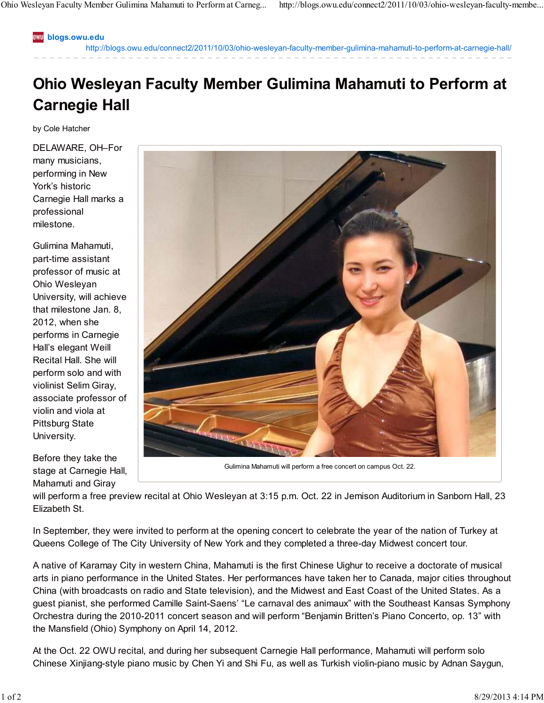**blogs.owu.edu**

http://blogs.owu.edu/connect2/2011/10/03/ohio-wesleyan-faculty-member-gulimina-mahamuti-to-perform-at-carnegie-hall/

## **Ohio Wesleyan Faculty Member Gulimina Mahamuti to Perform at Carnegie Hall**

by Cole Hatcher

DELAWARE, OH–For many musicians, performing in New York's historic Carnegie Hall marks a professional milestone.

Gulimina Mahamuti, part-time assistant professor of music at Ohio Wesleyan University, will achieve that milestone Jan. 8, 2012, when she performs in Carnegie Hall's elegant Weill Recital Hall. She will perform solo and with violinist Selim Giray, associate professor of violin and viola at Pittsburg State University.

Before they take the stage at Carnegie Hall, Mahamuti and Giray



Gulimina Mahamuti will perform a free concert on campus Oct. 22.

will perform a free preview recital at Ohio Wesleyan at 3:15 p.m. Oct. 22 in Jemison Auditorium in Sanborn Hall, 23 Elizabeth St.

In September, they were invited to perform at the opening concert to celebrate the year of the nation of Turkey at Queens College of The City University of New York and they completed a three-day Midwest concert tour.

A native of Karamay City in western China, Mahamuti is the first Chinese Uighur to receive a doctorate of musical arts in piano performance in the United States. Her performances have taken her to Canada, major cities throughout China (with broadcasts on radio and State television), and the Midwest and East Coast of the United States. As a guest pianist, she performed Camille Saint-Saens' "Le carnaval des animaux" with the Southeast Kansas Symphony Orchestra during the 2010-2011 concert season and will perform "Benjamin Britten's Piano Concerto, op. 13" with the Mansfield (Ohio) Symphony on April 14, 2012.

At the Oct. 22 OWU recital, and during her subsequent Carnegie Hall performance, Mahamuti will perform solo Chinese Xinjiang-style piano music by Chen Yi and Shi Fu, as well as Turkish violin-piano music by Adnan Saygun,